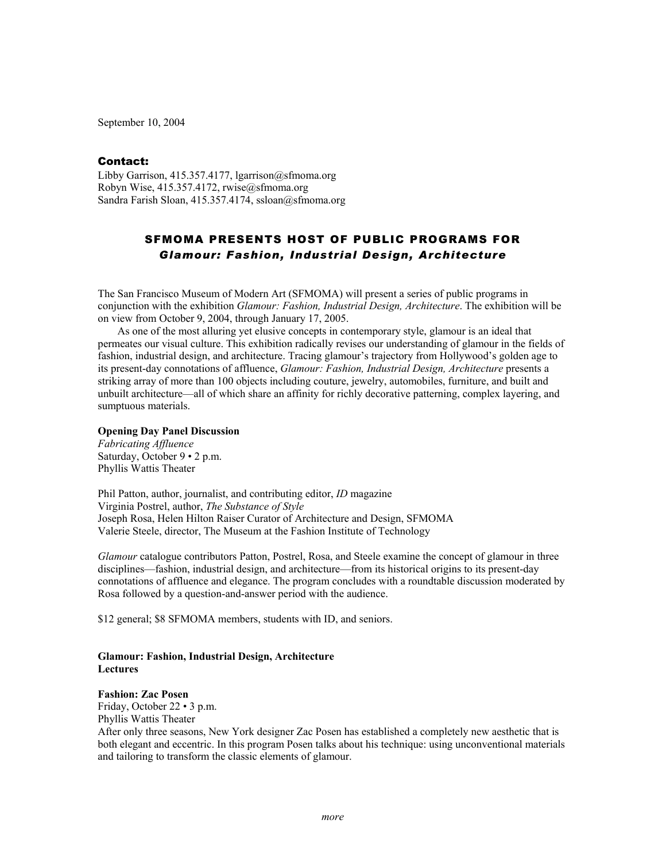September 10, 2004

## Contact:

Libby Garrison, 415.357.4177, lgarrison@sfmoma.org Robyn Wise, 415.357.4172, rwise@sfmoma.org Sandra Farish Sloan, 415.357.4174, ssloan@sfmoma.org

# SFMOMA PRESENTS HOST OF PUBLIC PROGRAMS FOR *Glamour: Fashion, Industrial Design, Architecture*

The San Francisco Museum of Modern Art (SFMOMA) will present a series of public programs in conjunction with the exhibition *Glamour: Fashion, Industrial Design, Architecture*. The exhibition will be on view from October 9, 2004, through January 17, 2005.

 As one of the most alluring yet elusive concepts in contemporary style, glamour is an ideal that permeates our visual culture. This exhibition radically revises our understanding of glamour in the fields of fashion, industrial design, and architecture. Tracing glamour's trajectory from Hollywood's golden age to its present-day connotations of affluence, *Glamour: Fashion, Industrial Design, Architecture* presents a striking array of more than 100 objects including couture, jewelry, automobiles, furniture, and built and unbuilt architecture—all of which share an affinity for richly decorative patterning, complex layering, and sumptuous materials.

## **Opening Day Panel Discussion**

*Fabricating Affluence* Saturday, October 9 • 2 p.m. Phyllis Wattis Theater

Phil Patton, author, journalist, and contributing editor, *ID* magazine Virginia Postrel, author, *The Substance of Style* Joseph Rosa, Helen Hilton Raiser Curator of Architecture and Design, SFMOMA Valerie Steele, director, The Museum at the Fashion Institute of Technology

*Glamour* catalogue contributors Patton, Postrel, Rosa, and Steele examine the concept of glamour in three disciplines—fashion, industrial design, and architecture—from its historical origins to its present-day connotations of affluence and elegance. The program concludes with a roundtable discussion moderated by Rosa followed by a question-and-answer period with the audience.

\$12 general; \$8 SFMOMA members, students with ID, and seniors.

#### **Glamour: Fashion, Industrial Design, Architecture Lectures**

### **Fashion: Zac Posen**

Friday, October 22 • 3 p.m. Phyllis Wattis Theater

After only three seasons, New York designer Zac Posen has established a completely new aesthetic that is both elegant and eccentric. In this program Posen talks about his technique: using unconventional materials and tailoring to transform the classic elements of glamour.